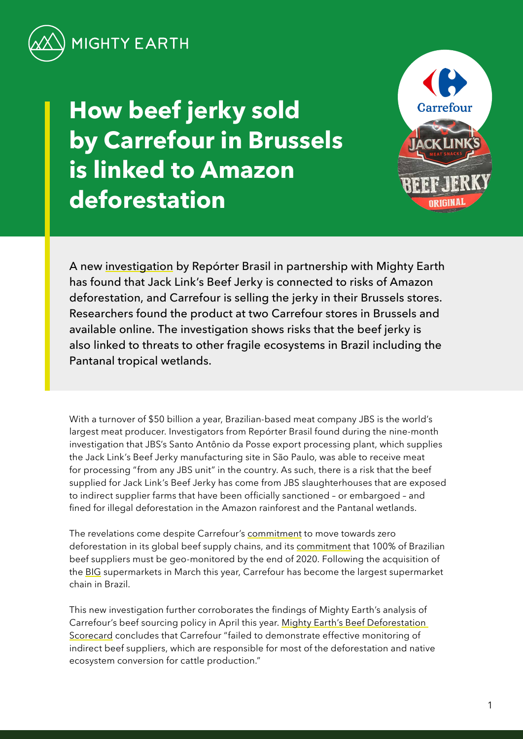

**How beef jerky sold by Carrefour in Brussels is linked to Amazon deforestation**



A new [investigation](https://reporterbrasil.org.br/wp-content/uploads/2021/12/Monitor-12-EN-FINAL.pdf) by Repórter Brasil in partnership with Mighty Earth has found that Jack Link's Beef Jerky is connected to risks of Amazon deforestation, and Carrefour is selling the jerky in their Brussels stores. Researchers found the product at two Carrefour stores in Brussels and available online. The investigation shows risks that the beef jerky is also linked to threats to other fragile ecosystems in Brazil including the Pantanal tropical wetlands.

With a turnover of \$50 billion a year, Brazilian-based meat company JBS is the world's largest meat producer. Investigators from Repórter Brasil found during the nine-month investigation that JBS's Santo Antônio da Posse export processing plant, which supplies the Jack Link's Beef Jerky manufacturing site in São Paulo, was able to receive meat for processing "from any JBS unit" in the country. As such, there is a risk that the beef supplied for Jack Link's Beef Jerky has come from JBS slaughterhouses that are exposed to indirect supplier farms that have been officially sanctioned – or embargoed – and fined for illegal deforestation in the Amazon rainforest and the Pantanal wetlands.

The revelations come despite Carrefour's [commitment](https://www.carrefour.com/sites/default/files/2020-06/Carrefour%20-%20Universal%20Registration%20Document%202019_0.pdf) to move towards zero deforestation in its global beef supply chains, and its [commitment](https://www.carrefour.com/sites/default/files/2020-06/Carrefour%20-%20Universal%20Registration%20Document%202019_0.pdf) that 100% of Brazilian beef suppliers must be geo-monitored by the end of 2020. Following the acquisition of the [BIG](https://www.nasdaq.com/articles/french-supermarket-group-carrefour-to-buy-brazils-grupo-big-in-%241.3-bln-deal-2021-03-24-0) supermarkets in March this year, Carrefour has become the largest supermarket chain in Brazil.

This new investigation further corroborates the findings of Mighty Earth's analysis of Carrefour's beef sourcing policy in April this year. [Mighty Earth's Beef Deforestation](https://stories.mightyearth.org/2021-beef-deforestation-scorecard/)  [Scorecard](https://stories.mightyearth.org/2021-beef-deforestation-scorecard/) concludes that Carrefour "failed to demonstrate effective monitoring of indirect beef suppliers, which are responsible for most of the deforestation and native ecosystem conversion for cattle production."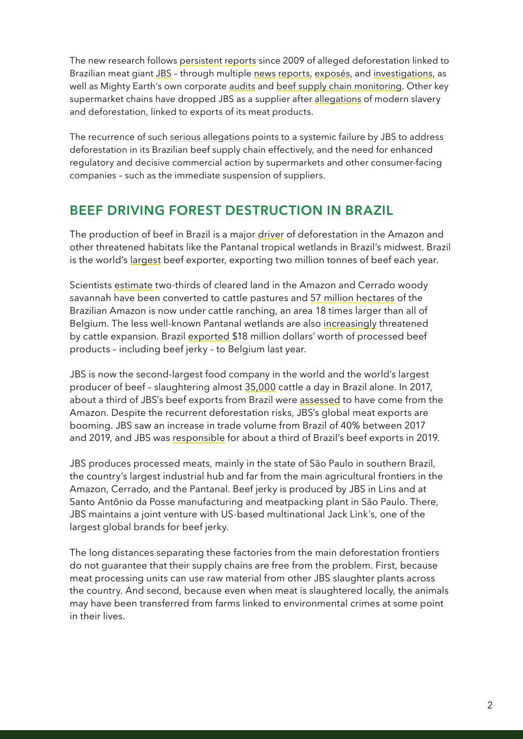The new research follows [persistent](https://www.greenpeace.org/usa/wp-content/uploads/legacy/Global/usa/planet3/PDFs/slaughtering-the-amazon-part-1.pdf) [reports](https://www.greenpeace.org.uk/wp-content/uploads/2020/08/Greenpeace_StillSlaughtering_Spreads.pdf) since 2009 of alleged deforestation linked to Brazilian meat giant [JBS](https://www.thebureauinvestigates.com/stories/2021-07-31/reign-of-fire-blazes-surge-on-protected-amazon-land-under-bolsonaro) – through multiple [news](https://www.globalwitness.org/en/campaigns/forests/beef-banks-and-brazilian-amazon/) [reports,](https://www.independent.co.uk/climate-change/news/tesco-meat-jbs-amazon-deforestation-b1888545.html) [exposés,](https://www.earthsight.org.uk/news/idm/brazil-corned-beef-jbs-uk-supermarkets-deforestation-amazon) and [investigations,](https://www.greenpeace.org/static/planet4-international-stateless/2021/03/77f3941a-0988_gp_pan_mincemeat_v9.95_mixedres.pdf) as well as Mighty Earth's own corporate [audits](https://stories.mightyearth.org/2021-beef-deforestation-scorecard/) and [beef supply chain monitoring](https://www.mightyearth.org/soy-and-cattle-tracker/). Other key supermarket chains have dropped JBS as a supplier after [allegations](https://www.theguardian.com/global-development/2017/jun/06/waitrose-pulls-its-corned-beef-off-shelves-after-guardian-reveals-alleged-slavery-links-brazil) of modern slavery and deforestation, linked to exports of its meat products.

The recurrence of such [serious allegations](https://www.greenpeace.org.uk/wp-content/uploads/2020/08/Greenpeace_StillSlaughtering_Spreads.pdf) points to a systemic failure by JBS to address deforestation in its Brazilian beef supply chain effectively, and the need for enhanced regulatory and decisive commercial action by supermarkets and other consumer-facing companies – such as the immediate suspension of suppliers.

## **BEEF DRIVING FOREST DESTRUCTION IN BRAZIL**

The production of beef in Brazil is a major [driver](https://www.pnas.org/content/117/50/31770) of deforestation in the Amazon and other threatened habitats like the Pantanal tropical wetlands in Brazil's midwest. Brazil is the world's [largest](http://resources.trase.earth/documents/zuErmgassen-et-al._2020_PNAS.pdf) beef exporter, exporting two million tonnes of beef each year.

Scientists [estimate](http://resources.trase.earth/documents/zuErmgassen-et-al._2020_PNAS.pdf) two-thirds of cleared land in the Amazon and Cerrado woody savannah have been converted to cattle pastures and [57 million hectares](https://mapbiomas-br-site.s3.amazonaws.com/Infograficos/Cole%C3%A7%C3%A3o6/MBI-Infografico-6.0-PTBR-amazonia.jpg) of the Brazilian Amazon is now under cattle ranching, an area 18 times larger than all of Belgium. The less well-known Pantanal wetlands are also [increasingly](https://www.nytimes.com/interactive/2020/10/13/climate/pantanal-brazil-fires.html) threatened by cattle expansion. Brazil [exported](https://comtrade.un.org/) \$18 million dollars' worth of processed beef products – including beef jerky – to Belgium last year.

JBS is now the second-largest food company in the world and the world's largest producer of beef – slaughtering almost [35,000](https://api.mziq.com/mzfilemanager/v2/d/043a77e1-0127-4502-bc5b-21427b991b22/538783c9-1d5e-953e-ba35-28f17db11226?origin=2) cattle a day in Brazil alone. In 2017, about a third of JBS's beef exports from Brazil were [assessed](https://www.greenpeace.org.uk/wp-content/uploads/2020/08/Greenpeace_StillSlaughtering_Spreads.pdf) to have come from the Amazon. Despite the recurrent deforestation risks, JBS's global meat exports are booming. JBS saw an increase in trade volume from Brazil of 40% between 2017 and 2019, and JBS was [responsible](https://www.greenpeace.org.uk/wp-content/uploads/2020/08/Greenpeace_StillSlaughtering_Spreads.pdf) for about a third of Brazil's beef exports in 2019.

JBS produces processed meats, mainly in the state of São Paulo in southern Brazil, the country's largest industrial hub and far from the main agricultural frontiers in the Amazon, Cerrado, and the Pantanal. Beef jerky is produced by JBS in Lins and at Santo Antônio da Posse manufacturing and meatpacking plant in São Paulo. There, JBS maintains a joint venture with US-based multinational Jack Link's, one of the largest global brands for beef jerky.

The long distances separating these factories from the main deforestation frontiers do not guarantee that their supply chains are free from the problem. First, because meat processing units can use raw material from other JBS slaughter plants across the country. And second, because even when meat is slaughtered locally, the animals may have been transferred from farms linked to environmental crimes at some point in their lives.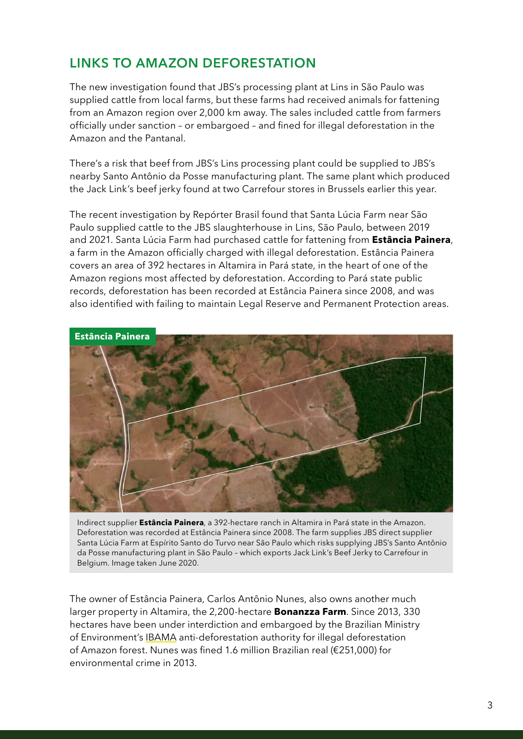## **LINKS TO AMAZON DEFORESTATION**

The new investigation found that JBS's processing plant at Lins in São Paulo was supplied cattle from local farms, but these farms had received animals for fattening from an Amazon region over 2,000 km away. The sales included cattle from farmers officially under sanction – or embargoed – and fined for illegal deforestation in the Amazon and the Pantanal.

There's a risk that beef from JBS's Lins processing plant could be supplied to JBS's nearby Santo Antônio da Posse manufacturing plant. The same plant which produced the Jack Link's beef jerky found at two Carrefour stores in Brussels earlier this year.

The recent investigation by Repórter Brasil found that Santa Lúcia Farm near São Paulo supplied cattle to the JBS slaughterhouse in Lins, São Paulo, between 2019 and 2021. Santa Lúcia Farm had purchased cattle for fattening from **Estância Painera**, a farm in the Amazon officially charged with illegal deforestation. Estância Painera covers an area of 392 hectares in Altamira in Pará state, in the heart of one of the Amazon regions most affected by deforestation. According to Pará state public records, deforestation has been recorded at Estância Painera since 2008, and was also identified with failing to maintain Legal Reserve and Permanent Protection areas.



Indirect supplier **Estância Painera**, a 392-hectare ranch in Altamira in Pará state in the Amazon. Deforestation was recorded at Estância Painera since 2008. The farm supplies JBS direct supplier Santa Lúcia Farm at Espírito Santo do Turvo near São Paulo which risks supplying JBS's Santo Antônio da Posse manufacturing plant in São Paulo – which exports Jack Link's Beef Jerky to Carrefour in Belgium. Image taken June 2020.

The owner of Estância Painera, Carlos Antônio Nunes, also owns another much larger property in Altamira, the 2,200-hectare **Bonanzza Farm**. Since 2013, 330 hectares have been under interdiction and embargoed by the Brazilian Ministry of Environment's [IBAMA](http://www.abc.gov.br/training/informacoes/InstituicaoIBAMA_en.aspx) anti-deforestation authority for illegal deforestation of Amazon forest. Nunes was fined 1.6 million Brazilian real (€251,000) for environmental crime in 2013.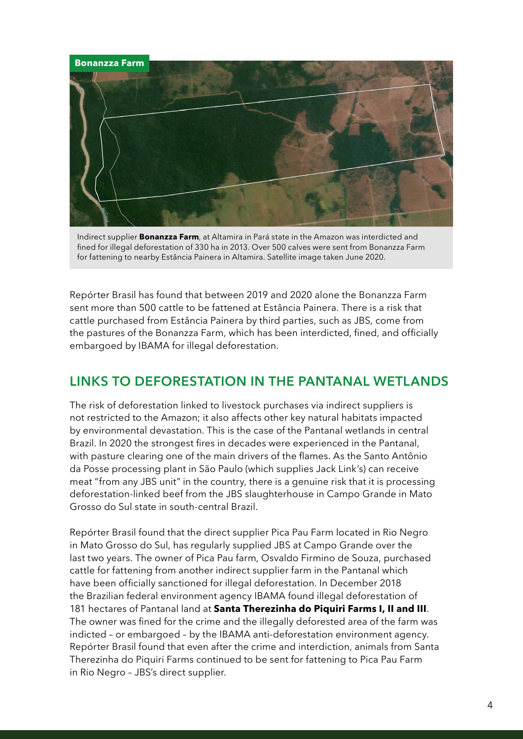

Indirect supplier **Bonanzza Farm**, at Altamira in Pará state in the Amazon was interdicted and fined for illegal deforestation of 330 ha in 2013. Over 500 calves were sent from Bonanzza Farm for fattening to nearby Estância Painera in Altamira. Satellite image taken June 2020.

Repórter Brasil has found that between 2019 and 2020 alone the Bonanzza Farm sent more than 500 cattle to be fattened at Estância Painera. There is a risk that cattle purchased from Estância Painera by third parties, such as JBS, come from the pastures of the Bonanzza Farm, which has been interdicted, fined, and officially embargoed by IBAMA for illegal deforestation.

## **LINKS TO DEFORESTATION IN THE PANTANAL WETLANDS**

The risk of deforestation linked to livestock purchases via indirect suppliers is not restricted to the Amazon; it also affects other key natural habitats impacted by environmental devastation. This is the case of the Pantanal wetlands in central Brazil. In 2020 the strongest fires in decades were experienced in the Pantanal, with pasture clearing one of the main drivers of the flames. As the Santo Antônio da Posse processing plant in São Paulo (which supplies Jack Link's) can receive meat "from any JBS unit" in the country, there is a genuine risk that it is processing deforestation-linked beef from the JBS slaughterhouse in Campo Grande in Mato Grosso do Sul state in south-central Brazil.

Repórter Brasil found that the direct supplier Pica Pau Farm located in Rio Negro in Mato Grosso do Sul, has regularly supplied JBS at Campo Grande over the last two years. The owner of Pica Pau farm, Osvaldo Firmino de Souza, purchased cattle for fattening from another indirect supplier farm in the Pantanal which have been officially sanctioned for illegal deforestation. In December 2018 the Brazilian federal environment agency IBAMA found illegal deforestation of 181 hectares of Pantanal land at **Santa Therezinha do Piquiri Farms I, II and III**. The owner was fined for the crime and the illegally deforested area of the farm was indicted – or embargoed – by the IBAMA anti-deforestation environment agency. Repórter Brasil found that even after the crime and interdiction, animals from Santa Therezinha do Piquiri Farms continued to be sent for fattening to Pica Pau Farm in Rio Negro – JBS's direct supplier.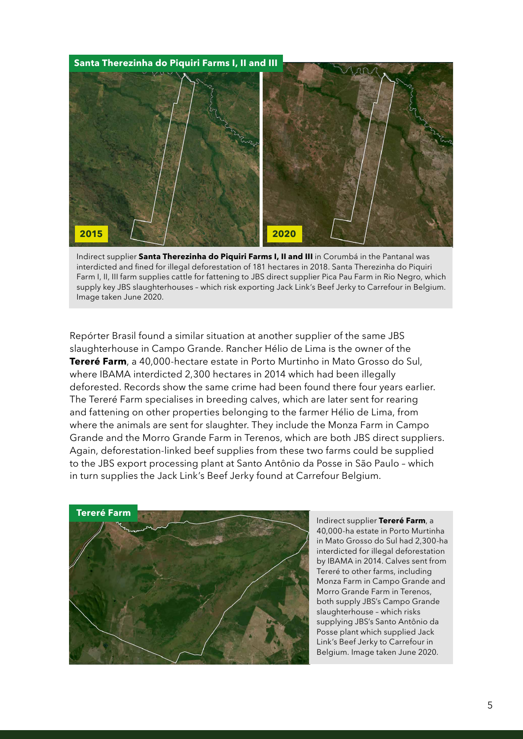

Indirect supplier **Santa Therezinha do Piquiri Farms I, II and III** in Corumbá in the Pantanal was interdicted and fined for illegal deforestation of 181 hectares in 2018. Santa Therezinha do Piquiri Farm I, II, III farm supplies cattle for fattening to JBS direct supplier Pica Pau Farm in Rio Negro, which supply key JBS slaughterhouses – which risk exporting Jack Link's Beef Jerky to Carrefour in Belgium. Image taken June 2020.

Repórter Brasil found a similar situation at another supplier of the same JBS slaughterhouse in Campo Grande. Rancher Hélio de Lima is the owner of the **Tereré Farm**, a 40,000-hectare estate in Porto Murtinho in Mato Grosso do Sul, where IBAMA interdicted 2,300 hectares in 2014 which had been illegally deforested. Records show the same crime had been found there four years earlier. The Tereré Farm specialises in breeding calves, which are later sent for rearing and fattening on other properties belonging to the farmer Hélio de Lima, from where the animals are sent for slaughter. They include the Monza Farm in Campo Grande and the Morro Grande Farm in Terenos, which are both JBS direct suppliers. Again, deforestation-linked beef supplies from these two farms could be supplied to the JBS export processing plant at Santo Antônio da Posse in São Paulo – which in turn supplies the Jack Link's Beef Jerky found at Carrefour Belgium.



Indirect supplier **Tereré Farm**, a 40,000-ha estate in Porto Murtinha in Mato Grosso do Sul had 2,300-ha interdicted for illegal deforestation by IBAMA in 2014. Calves sent from Tereré to other farms, including Monza Farm in Campo Grande and Morro Grande Farm in Terenos, both supply JBS's Campo Grande slaughterhouse – which risks supplying JBS's Santo Antônio da Posse plant which supplied Jack Link's Beef Jerky to Carrefour in Belgium. Image taken June 2020.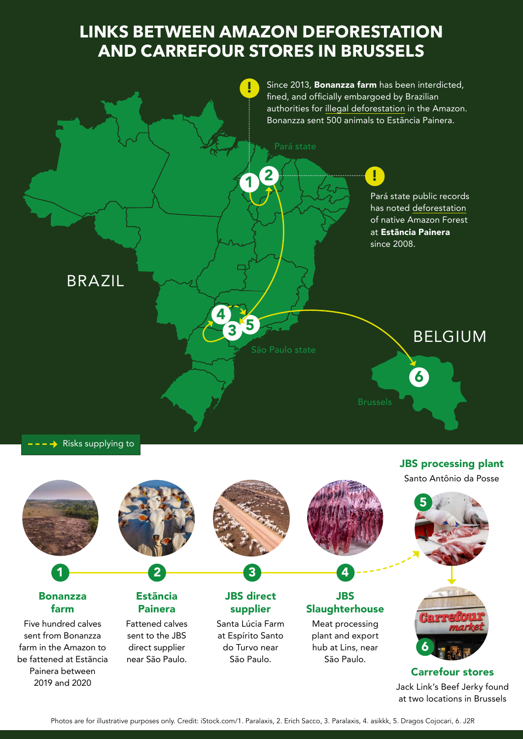# **LINKS BETWEEN AMAZON DEFORESTATION AND CARREFOUR STORES IN BRUSSELS**



 $\rightarrow$  Risks supplying to

JBS processing plant

5 Santo Antônio da Posse

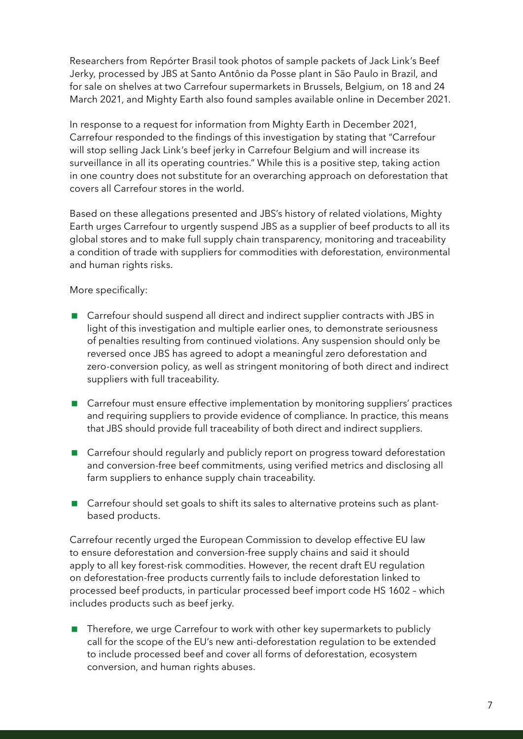Researchers from Repórter Brasil took photos of sample packets of Jack Link's Beef Jerky, processed by JBS at Santo Antônio da Posse plant in São Paulo in Brazil, and for sale on shelves at two Carrefour supermarkets in Brussels, Belgium, on 18 and 24 March 2021, and Mighty Earth also found samples available online in December 2021.

In response to a request for information from Mighty Earth in December 2021, Carrefour responded to the findings of this investigation by stating that "Carrefour will stop selling Jack Link's beef jerky in Carrefour Belgium and will increase its surveillance in all its operating countries." While this is a positive step, taking action in one country does not substitute for an overarching approach on deforestation that covers all Carrefour stores in the world.

Based on these allegations presented and JBS's history of related violations, Mighty Earth urges Carrefour to urgently suspend JBS as a supplier of beef products to all its global stores and to make full supply chain transparency, monitoring and traceability a condition of trade with suppliers for commodities with deforestation, environmental and human rights risks.

#### More specifically:

- Carrefour should suspend all direct and indirect supplier contracts with JBS in light of this investigation and multiple earlier ones, to demonstrate seriousness of penalties resulting from continued violations. Any suspension should only be reversed once JBS has agreed to adopt a meaningful zero deforestation and zero-conversion policy, as well as stringent monitoring of both direct and indirect suppliers with full traceability.
- Carrefour must ensure effective implementation by monitoring suppliers' practices and requiring suppliers to provide evidence of compliance. In practice, this means that JBS should provide full traceability of both direct and indirect suppliers.
- Carrefour should regularly and publicly report on progress toward deforestation and conversion-free beef commitments, using verified metrics and disclosing all farm suppliers to enhance supply chain traceability.
- Carrefour should set goals to shift its sales to alternative proteins such as plantbased products.

Carrefour recently urged the European Commission to develop effective EU law to ensure deforestation and conversion-free supply chains and said it should apply to all key forest-risk commodities. However, the recent draft EU regulation on deforestation-free products currently fails to include deforestation linked to processed beef products, in particular processed beef import code HS 1602 – which includes products such as beef jerky.

■ Therefore, we urge Carrefour to work with other key supermarkets to publicly call for the scope of the EU's new anti-deforestation regulation to be extended to include processed beef and cover all forms of deforestation, ecosystem conversion, and human rights abuses.